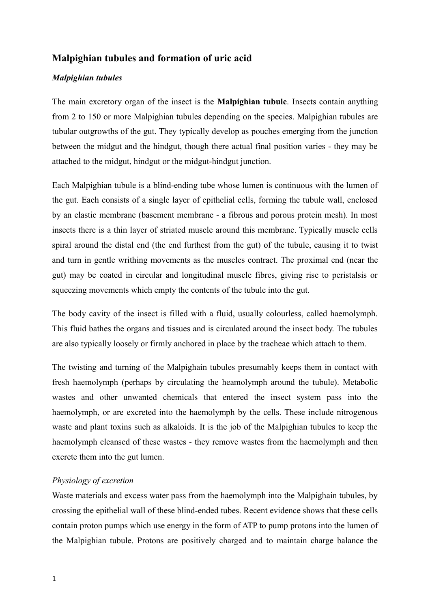## **Malpighian tubules and formation of uric acid**

## *Malpighian tubules*

The main excretory organ of the insect is the **Malpighian tubule**. Insects contain anything from 2 to 150 or more Malpighian tubules depending on the species. Malpighian tubules are tubular outgrowths of the gut. They typically develop as pouches emerging from the junction between the midgut and the hindgut, though there actual final position varies - they may be attached to the midgut, hindgut or the midgut-hindgut junction.

Each Malpighian tubule is a blind-ending tube whose lumen is continuous with the lumen of the gut. Each consists of a single layer of epithelial cells, forming the tubule wall, enclosed by an elastic membrane (basement membrane - a fibrous and porous protein mesh). In most insects there is a thin layer of striated muscle around this membrane. Typically muscle cells spiral around the distal end (the end furthest from the gut) of the tubule, causing it to twist and turn in gentle writhing movements as the muscles contract. The proximal end (near the gut) may be coated in circular and longitudinal muscle fibres, giving rise to peristalsis or squeezing movements which empty the contents of the tubule into the gut.

The body cavity of the insect is filled with a fluid, usually colourless, called haemolymph. This fluid bathes the organs and tissues and is circulated around the insect body. The tubules are also typically loosely or firmly anchored in place by the tracheae which attach to them.

The twisting and turning of the Malpighain tubules presumably keeps them in contact with fresh haemolymph (perhaps by circulating the heamolymph around the tubule). Metabolic wastes and other unwanted chemicals that entered the insect system pass into the haemolymph, or are excreted into the haemolymph by the cells. These include nitrogenous waste and plant toxins such as alkaloids. It is the job of the Malpighian tubules to keep the haemolymph cleansed of these wastes - they remove wastes from the haemolymph and then excrete them into the gut lumen.

## *Physiology of excretion*

Waste materials and excess water pass from the haemolymph into the Malpighain tubules, by crossing the epithelial wall of these blind-ended tubes. Recent evidence shows that these cells contain proton pumps which use energy in the form of ATP to pump protons into the lumen of the Malpighian tubule. Protons are positively charged and to maintain charge balance the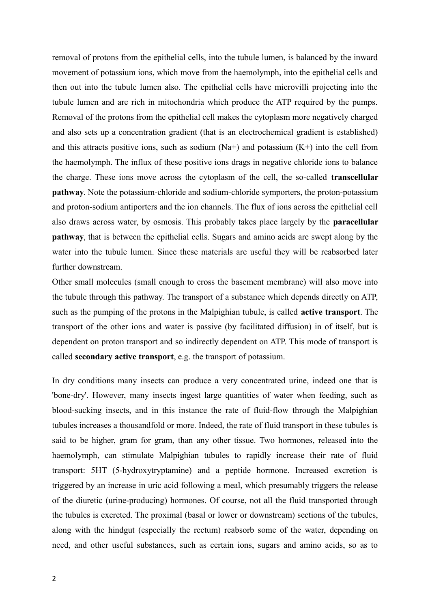removal of protons from the epithelial cells, into the tubule lumen, is balanced by the inward movement of potassium ions, which move from the haemolymph, into the epithelial cells and then out into the tubule lumen also. The epithelial cells have microvilli projecting into the tubule lumen and are rich in mitochondria which produce the ATP required by the pumps. Removal of the protons from the epithelial cell makes the cytoplasm more negatively charged and also sets up a concentration gradient (that is an electrochemical gradient is established) and this attracts positive ions, such as sodium  $(Na+)$  and potassium  $(K+)$  into the cell from the haemolymph. The influx of these positive ions drags in negative chloride ions to balance the charge. These ions move across the cytoplasm of the cell, the so-called **transcellular pathway**. Note the potassium-chloride and sodium-chloride symporters, the proton-potassium and proton-sodium antiporters and the ion channels. The flux of ions across the epithelial cell also draws across water, by osmosis. This probably takes place largely by the **paracellular pathway**, that is between the epithelial cells. Sugars and amino acids are swept along by the water into the tubule lumen. Since these materials are useful they will be reabsorbed later further downstream.

Other small molecules (small enough to cross the basement membrane) will also move into the tubule through this pathway. The transport of a substance which depends directly on ATP, such as the pumping of the protons in the Malpighian tubule, is called **active transport**. The transport of the other ions and water is passive (by facilitated diffusion) in of itself, but is dependent on proton transport and so indirectly dependent on ATP. This mode of transport is called **secondary active transport**, e.g. the transport of potassium.

In dry conditions many insects can produce a very concentrated urine, indeed one that is 'bone-dry'. However, many insects ingest large quantities of water when feeding, such as blood-sucking insects, and in this instance the rate of fluid-flow through the Malpighian tubules increases a thousandfold or more. Indeed, the rate of fluid transport in these tubules is said to be higher, gram for gram, than any other tissue. Two hormones, released into the haemolymph, can stimulate Malpighian tubules to rapidly increase their rate of fluid transport: 5HT (5-hydroxytryptamine) and a peptide hormone. Increased excretion is triggered by an increase in uric acid following a meal, which presumably triggers the release of the diuretic (urine-producing) hormones. Of course, not all the fluid transported through the tubules is excreted. The proximal (basal or lower or downstream) sections of the tubules, along with the hindgut (especially the rectum) reabsorb some of the water, depending on need, and other useful substances, such as certain ions, sugars and amino acids, so as to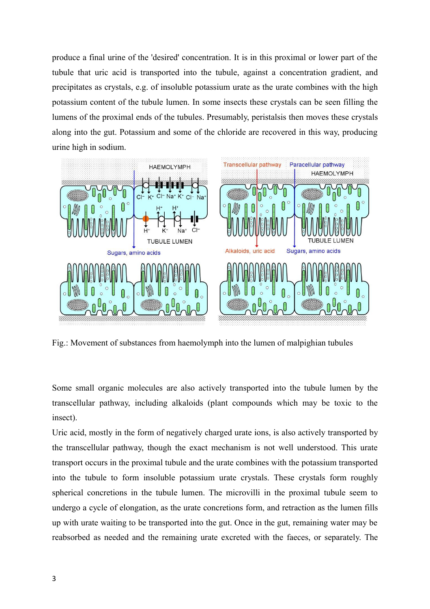produce a final urine of the 'desired' concentration. It is in this proximal or lower part of the tubule that uric acid is transported into the tubule, against a concentration gradient, and precipitates as crystals, e.g. of insoluble potassium urate as the urate combines with the high potassium content of the tubule lumen. In some insects these crystals can be seen filling the lumens of the proximal ends of the tubules. Presumably, peristalsis then moves these crystals along into the gut. Potassium and some of the chloride are recovered in this way, producing urine high in sodium.



Fig.: Movement of substances from haemolymph into the lumen of malpighian tubules

Some small organic molecules are also actively transported into the tubule lumen by the transcellular pathway, including alkaloids (plant compounds which may be toxic to the insect).

Uric acid, mostly in the form of negatively charged urate ions, is also actively transported by the transcellular pathway, though the exact mechanism is not well understood. This urate transport occurs in the proximal tubule and the urate combines with the potassium transported into the tubule to form insoluble potassium urate crystals. These crystals form roughly spherical concretions in the tubule lumen. The microvilli in the proximal tubule seem to undergo a cycle of elongation, as the urate concretions form, and retraction as the lumen fills up with urate waiting to be transported into the gut. Once in the gut, remaining water may be reabsorbed as needed and the remaining urate excreted with the faeces, or separately. The